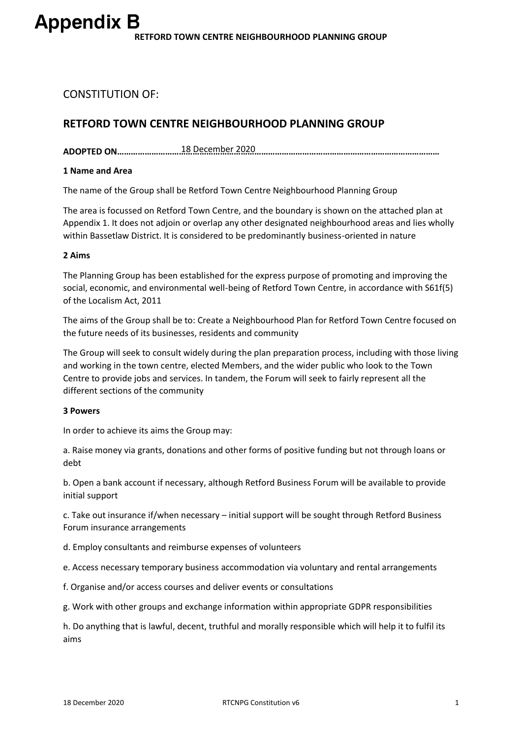# CONSTITUTION OF:

# **RETFORD TOWN CENTRE NEIGHBOURHOOD PLANNING GROUP**

**ADOPTED ON……………………………………………………………………………………………………………………………** 18 December 2020

### **1 Name and Area**

The name of the Group shall be Retford Town Centre Neighbourhood Planning Group

The area is focussed on Retford Town Centre, and the boundary is shown on the attached plan at Appendix 1. It does not adjoin or overlap any other designated neighbourhood areas and lies wholly within Bassetlaw District. It is considered to be predominantly business-oriented in nature

### **2 Aims**

The Planning Group has been established for the express purpose of promoting and improving the social, economic, and environmental well-being of Retford Town Centre, in accordance with S61f(5) of the Localism Act, 2011

The aims of the Group shall be to: Create a Neighbourhood Plan for Retford Town Centre focused on the future needs of its businesses, residents and community

The Group will seek to consult widely during the plan preparation process, including with those living and working in the town centre, elected Members, and the wider public who look to the Town Centre to provide jobs and services. In tandem, the Forum will seek to fairly represent all the different sections of the community

#### **3 Powers**

In order to achieve its aims the Group may:

a. Raise money via grants, donations and other forms of positive funding but not through loans or debt

b. Open a bank account if necessary, although Retford Business Forum will be available to provide initial support

c. Take out insurance if/when necessary – initial support will be sought through Retford Business Forum insurance arrangements

d. Employ consultants and reimburse expenses of volunteers

e. Access necessary temporary business accommodation via voluntary and rental arrangements

f. Organise and/or access courses and deliver events or consultations

g. Work with other groups and exchange information within appropriate GDPR responsibilities

h. Do anything that is lawful, decent, truthful and morally responsible which will help it to fulfil its aims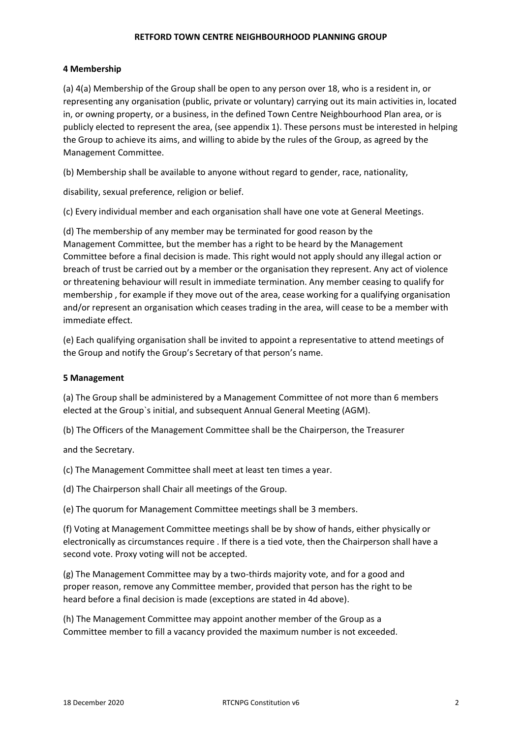## **RETFORD TOWN CENTRE NEIGHBOURHOOD PLANNING GROUP**

# **4 Membership**

(a) 4(a) Membership of the Group shall be open to any person over 18, who is a resident in, or representing any organisation (public, private or voluntary) carrying out its main activities in, located in, or owning property, or a business, in the defined Town Centre Neighbourhood Plan area, or is publicly elected to represent the area, (see appendix 1). These persons must be interested in helping the Group to achieve its aims, and willing to abide by the rules of the Group, as agreed by the Management Committee.

(b) Membership shall be available to anyone without regard to gender, race, nationality,

disability, sexual preference, religion or belief.

(c) Every individual member and each organisation shall have one vote at General Meetings.

(d) The membership of any member may be terminated for good reason by the Management Committee, but the member has a right to be heard by the Management Committee before a final decision is made. This right would not apply should any illegal action or breach of trust be carried out by a member or the organisation they represent. Any act of violence or threatening behaviour will result in immediate termination. Any member ceasing to qualify for membership , for example if they move out of the area, cease working for a qualifying organisation and/or represent an organisation which ceases trading in the area, will cease to be a member with immediate effect.

(e) Each qualifying organisation shall be invited to appoint a representative to attend meetings of the Group and notify the Group's Secretary of that person's name.

# **5 Management**

(a) The Group shall be administered by a Management Committee of not more than 6 members elected at the Group`s initial, and subsequent Annual General Meeting (AGM).

(b) The Officers of the Management Committee shall be the Chairperson, the Treasurer

and the Secretary.

(c) The Management Committee shall meet at least ten times a year.

(d) The Chairperson shall Chair all meetings of the Group.

(e) The quorum for Management Committee meetings shall be 3 members.

(f) Voting at Management Committee meetings shall be by show of hands, either physically or electronically as circumstances require . If there is a tied vote, then the Chairperson shall have a second vote. Proxy voting will not be accepted.

(g) The Management Committee may by a two-thirds majority vote, and for a good and proper reason, remove any Committee member, provided that person has the right to be heard before a final decision is made (exceptions are stated in 4d above).

(h) The Management Committee may appoint another member of the Group as a Committee member to fill a vacancy provided the maximum number is not exceeded.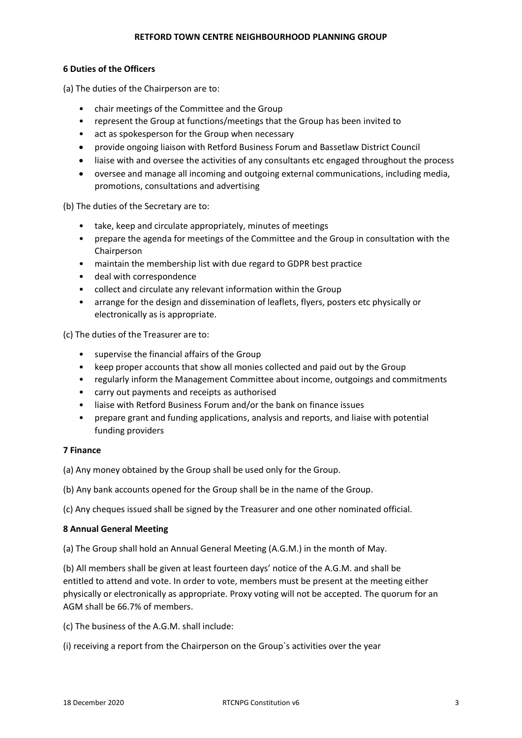# **RETFORD TOWN CENTRE NEIGHBOURHOOD PLANNING GROUP**

# **6 Duties of the Officers**

(a) The duties of the Chairperson are to:

- chair meetings of the Committee and the Group
- represent the Group at functions/meetings that the Group has been invited to
- act as spokesperson for the Group when necessary
- provide ongoing liaison with Retford Business Forum and Bassetlaw District Council
- liaise with and oversee the activities of any consultants etc engaged throughout the process
- oversee and manage all incoming and outgoing external communications, including media, promotions, consultations and advertising

(b) The duties of the Secretary are to:

- take, keep and circulate appropriately, minutes of meetings
- prepare the agenda for meetings of the Committee and the Group in consultation with the Chairperson
- maintain the membership list with due regard to GDPR best practice
- deal with correspondence
- collect and circulate any relevant information within the Group
- arrange for the design and dissemination of leaflets, flyers, posters etc physically or electronically as is appropriate.

(c) The duties of the Treasurer are to:

- supervise the financial affairs of the Group
- keep proper accounts that show all monies collected and paid out by the Group
- regularly inform the Management Committee about income, outgoings and commitments
- carry out payments and receipts as authorised
- liaise with Retford Business Forum and/or the bank on finance issues
- prepare grant and funding applications, analysis and reports, and liaise with potential funding providers

#### **7 Finance**

(a) Any money obtained by the Group shall be used only for the Group.

(b) Any bank accounts opened for the Group shall be in the name of the Group.

(c) Any cheques issued shall be signed by the Treasurer and one other nominated official.

# **8 Annual General Meeting**

(a) The Group shall hold an Annual General Meeting (A.G.M.) in the month of May.

(b) All members shall be given at least fourteen days' notice of the A.G.M. and shall be entitled to attend and vote. In order to vote, members must be present at the meeting either physically or electronically as appropriate. Proxy voting will not be accepted. The quorum for an AGM shall be 66.7% of members.

(c) The business of the A.G.M. shall include:

(i) receiving a report from the Chairperson on the Group`s activities over the year